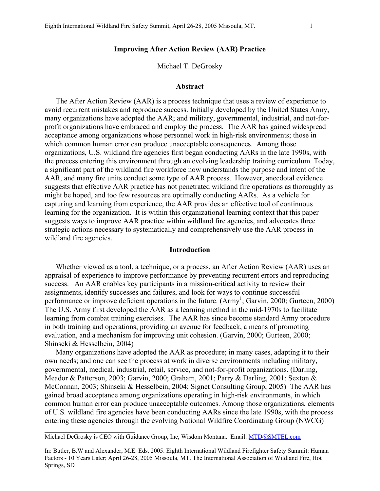### **Improving After Action Review (AAR) Practice**

Michael T. DeGrosky

#### **Abstract**

The After Action Review (AAR) is a process technique that uses a review of experience to avoid recurrent mistakes and reproduce success. Initially developed by the United States Army, many organizations have adopted the AAR; and military, governmental, industrial, and not-forprofit organizations have embraced and employ the process. The AAR has gained widespread acceptance among organizations whose personnel work in high-risk environments; those in which common human error can produce unacceptable consequences. Among those organizations, U.S. wildland fire agencies first began conducting AARs in the late 1990s, with the process entering this environment through an evolving leadership training curriculum. Today, a significant part of the wildland fire workforce now understands the purpose and intent of the AAR, and many fire units conduct some type of AAR process. However, anecdotal evidence suggests that effective AAR practice has not penetrated wildland fire operations as thoroughly as might be hoped, and too few resources are optimally conducting AARs. As a vehicle for capturing and learning from experience, the AAR provides an effective tool of continuous learning for the organization. It is within this organizational learning context that this paper suggests ways to improve AAR practice within wildland fire agencies, and advocates three strategic actions necessary to systematically and comprehensively use the AAR process in wildland fire agencies.

# **Introduction**

Whether viewed as a tool, a technique, or a process, an After Action Review (AAR) uses an appraisal of experience to improve performance by preventing recurrent errors and reproducing success. An AAR enables key participants in a mission-critical activity to review their assignments, identify successes and failures, and look for ways to continue successful performance or improve deficient operations in the future. (Army<sup>1</sup>; Garvin, 2000; Gurteen, 2000) The U.S. Army first developed the AAR as a learning method in the mid-1970s to facilitate learning from combat training exercises. The AAR has since become standard Army procedure in both training and operations, providing an avenue for feedback, a means of promoting evaluation, and a mechanism for improving unit cohesion. (Garvin, 2000; Gurteen, 2000; Shinseki & Hesselbein, 2004)

Many organizations have adopted the AAR as procedure; in many cases, adapting it to their own needs; and one can see the process at work in diverse environments including military, governmental, medical, industrial, retail, service, and not-for-profit organizations. (Darling, Meador & Patterson, 2003; Garvin, 2000; Graham, 2001; Parry & Darling, 2001; Sexton & McConnan, 2003; Shinseki & Hesselbein, 2004; Signet Consulting Group, 2005) The AAR has gained broad acceptance among organizations operating in high-risk environments, in which common human error can produce unacceptable outcomes. Among those organizations, elements of U.S. wildland fire agencies have been conducting AARs since the late 1990s, with the process entering these agencies through the evolving National Wildfire Coordinating Group (NWCG)

 $\mathcal{L}=\{1,2,3,4,5\}$ 

Michael DeGrosky is CEO with Guidance Group, Inc, Wisdom Montana. Email: MTD@SMTEL.com

 Factors - 10 Years Later; April 26-28, 2005 Missoula, MT. The International Association of Wildland Fire, Hot In: Butler, B.W and Alexander, M.E. Eds. 2005. Eighth International Wildland Firefighter Safety Summit: Human Springs, SD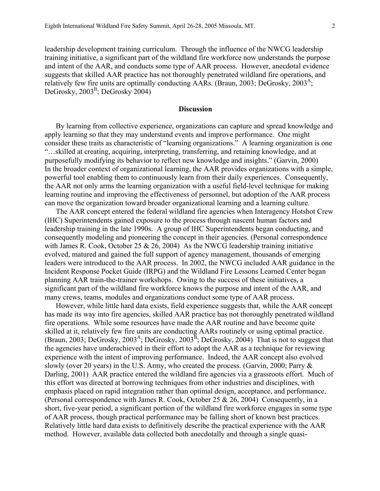leadership development training curriculum. Through the influence of the NWCG leadership training initiative, a significant part of the wildland fire workforce now understands the purpose and intent of the AAR, and conducts some type of AAR process. However, anecdotal evidence suggests that skilled AAR practice has not thoroughly penetrated wildland fire operations, and relatively few fire units are optimally conducting AARs. (Braun, 2003; DeGrosky,  $2003^{\circ}$ ; DeGrosky, 2003<sup>B</sup>; DeGrosky 2004)

# **Discussion**

By learning from collective experience, organizations can capture and spread knowledge and apply learning so that they may understand events and improve performance. One might consider these traits as characteristic of "learning organizations." A learning organization is one "…skilled at creating, acquiring, interpreting, transferring, and retaining knowledge, and at purposefully modifying its behavior to reflect new knowledge and insights." (Garvin, 2000) In the broader context of organizational learning, the AAR provides organizations with a simple, powerful tool enabling them to continuously learn from their daily experiences. Consequently, the AAR not only arms the learning organization with a useful field-level technique for making learning routine and improving the effectiveness of personnel, but adoption of the AAR process can move the organization toward broader organizational learning and a learning culture.

The AAR concept entered the federal wildland fire agencies when Interagency Hotshot Crew (IHC) Superintendents gained exposure to the process through nascent human factors and leadership training in the late 1990s. A group of IHC Superintendents began conducting, and consequently modeling and pioneering the concept in their agencies. (Personal correspondence with James R. Cook, October 25  $& 26, 2004$  As the NWCG leadership training initiative evolved, matured and gained the full support of agency management, thousands of emerging leaders were introduced to the AAR process. In 2002, the NWCG included AAR guidance in the Incident Response Pocket Guide (IRPG) and the Wildland Fire Lessons Learned Center began planning AAR train-the-trainer workshops. Owing to the success of these initiatives, a significant part of the wildland fire workforce knows the purpose and intent of the AAR, and many crews, teams, modules and organizations conduct some type of AAR process.

However, while little hard data exists, field experience suggests that, while the AAR concept has made its way into fire agencies, skilled AAR practice has not thoroughly penetrated wildland fire operations. While some resources have made the AAR routine and have become quite skilled at it, relatively few fire units are conducting AARs routinely or using optimal practice. (Braun, 2003; DeGrosky, 2003<sup>A</sup>; DeGrosky, 2003<sup>B</sup>; DeGrosky, 2004) That is not to suggest that the agencies have underachieved in their effort to adopt the AAR as a technique for reviewing experience with the intent of improving performance. Indeed, the AAR concept also evolved slowly (over 20 years) in the U.S. Army, who created the process. (Garvin, 2000; Parry & Darling, 2001) AAR practice entered the wildland fire agencies via a grassroots effort. Much of this effort was directed at borrowing techniques from other industries and disciplines, with emphasis placed on rapid integration rather than optimal design, acceptance, and performance. (Personal correspondence with James R. Cook, October 25 & 26, 2004) Consequently, in a short, five-year period, a significant portion of the wildland fire workforce engages in some type of AAR process, though practical performance may be falling short of known best practices. Relatively little hard data exists to definitively describe the practical experience with the AAR method. However, available data collected both anecdotally and through a single quasi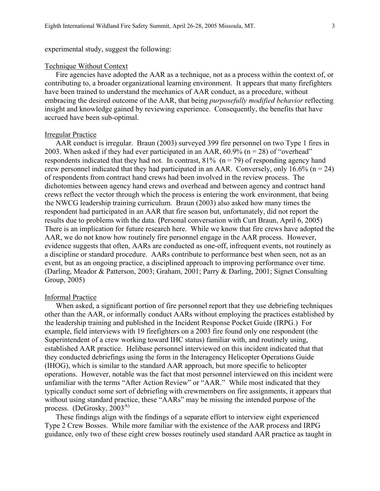experimental study, suggest the following:

#### Technique Without Context

Fire agencies have adopted the AAR as a technique, not as a process within the context of, or contributing to, a broader organizational learning environment. It appears that many firefighters have been trained to understand the mechanics of AAR conduct, as a procedure, without embracing the desired outcome of the AAR, that being *purposefully modified behavior* reflecting insight and knowledge gained by reviewing experience. Consequently, the benefits that have accrued have been sub-optimal.

### Irregular Practice

AAR conduct is irregular. Braun (2003) surveyed 399 fire personnel on two Type 1 fires in 2003. When asked if they had ever participated in an AAR,  $60.9\%$  (n = 28) of "overhead" respondents indicated that they had not. In contrast,  $81\%$  (n = 79) of responding agency hand crew personnel indicated that they had participated in an AAR. Conversely, only 16.6% ( $n = 24$ ) of respondents from contract hand crews had been involved in the review process. The dichotomies between agency hand crews and overhead and between agency and contract hand crews reflect the vector through which the process is entering the work environment, that being the NWCG leadership training curriculum. Braun (2003) also asked how many times the respondent had participated in an AAR that fire season but, unfortunately, did not report the results due to problems with the data. (Personal conversation with Curt Braun, April 6, 2005) There is an implication for future research here. While we know that fire crews have adopted the AAR, we do not know how routinely fire personnel engage in the AAR process. However, evidence suggests that often, AARs are conducted as one-off, infrequent events, not routinely as a discipline or standard procedure. AARs contribute to performance best when seen, not as an event, but as an ongoing practice, a disciplined approach to improving performance over time. (Darling, Meador & Patterson, 2003; Graham, 2001; Parry & Darling, 2001; Signet Consulting Group, 2005)

### Informal Practice

process. (DeGrosky,  $2003<sup>A</sup>$ ) When asked, a significant portion of fire personnel report that they use debriefing techniques other than the AAR, or informally conduct AARs without employing the practices established by the leadership training and published in the Incident Response Pocket Guide (IRPG.) For example, field interviews with 19 firefighters on a 2003 fire found only one respondent (the Superintendent of a crew working toward IHC status) familiar with, and routinely using, established AAR practice. Helibase personnel interviewed on this incident indicated that that they conducted debriefings using the form in the Interagency Helicopter Operations Guide (IHOG), which is similar to the standard AAR approach, but more specific to helicopter operations. However, notable was the fact that most personnel interviewed on this incident were unfamiliar with the terms "After Action Review" or "AAR." While most indicated that they typically conduct some sort of debriefing with crewmembers on fire assignments, it appears that without using standard practice, these "AARs" may be missing the intended purpose of the

These findings align with the findings of a separate effort to interview eight experienced Type 2 Crew Bosses. While more familiar with the existence of the AAR process and IRPG guidance, only two of these eight crew bosses routinely used standard AAR practice as taught in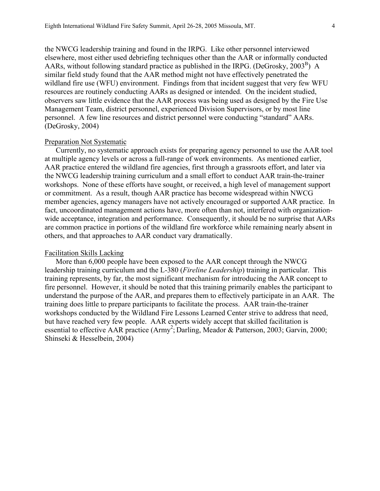the NWCG leadership training and found in the IRPG. Like other personnel interviewed elsewhere, most either used debriefing techniques other than the AAR or informally conducted AARs, without following standard practice as published in the IRPG. (DeGrosky,  $2003^B$ ) A similar field study found that the AAR method might not have effectively penetrated the wildland fire use (WFU) environment. Findings from that incident suggest that very few WFU resources are routinely conducting AARs as designed or intended. On the incident studied, observers saw little evidence that the AAR process was being used as designed by the Fire Use Management Team, district personnel, experienced Division Supervisors, or by most line personnel. A few line resources and district personnel were conducting "standard" AARs. (DeGrosky, 2004)

### Preparation Not Systematic

Currently, no systematic approach exists for preparing agency personnel to use the AAR tool at multiple agency levels or across a full-range of work environments. As mentioned earlier, AAR practice entered the wildland fire agencies, first through a grassroots effort, and later via the NWCG leadership training curriculum and a small effort to conduct AAR train-the-trainer workshops. None of these efforts have sought, or received, a high level of management support or commitment. As a result, though AAR practice has become widespread within NWCG member agencies, agency managers have not actively encouraged or supported AAR practice. In fact, uncoordinated management actions have, more often than not, interfered with organizationwide acceptance, integration and performance. Consequently, it should be no surprise that AARs are common practice in portions of the wildland fire workforce while remaining nearly absent in others, and that approaches to AAR conduct vary dramatically.

## Facilitation Skills Lacking

More than 6,000 people have been exposed to the AAR concept through the NWCG leadership training curriculum and the L-380 (*Fireline Leadership*) training in particular. This training represents, by far, the most significant mechanism for introducing the AAR concept to fire personnel. However, it should be noted that this training primarily enables the participant to understand the purpose of the AAR, and prepares them to effectively participate in an AAR. The training does little to prepare participants to facilitate the process. AAR train-the-trainer workshops conducted by the Wildland Fire Lessons Learned Center strive to address that need, but have reached very few people. AAR experts widely accept that skilled facilitation is essential to effective AAR practice (Army<sup>2</sup>; Darling, Meador & Patterson, 2003; Garvin, 2000; Shinseki & Hesselbein, 2004)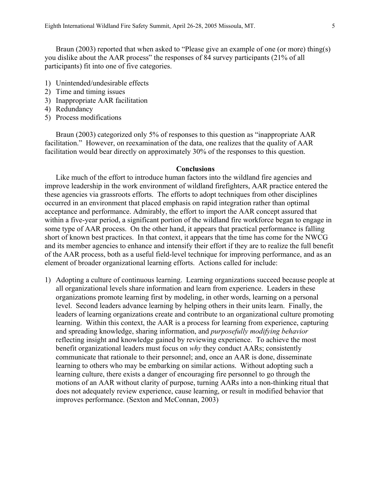Braun (2003) reported that when asked to "Please give an example of one (or more) thing(s) you dislike about the AAR process" the responses of 84 survey participants (21% of all participants) fit into one of five categories.

- 1) Unintended/undesirable effects
- 2) Time and timing issues
- 3) Inappropriate AAR facilitation
- 4) Redundancy
- 5) Process modifications

Braun (2003) categorized only 5% of responses to this question as "inappropriate AAR facilitation." However, on reexamination of the data, one realizes that the quality of AAR facilitation would bear directly on approximately 30% of the responses to this question.

### **Conclusions**

Like much of the effort to introduce human factors into the wildland fire agencies and improve leadership in the work environment of wildland firefighters, AAR practice entered the these agencies via grassroots efforts. The efforts to adopt techniques from other disciplines occurred in an environment that placed emphasis on rapid integration rather than optimal acceptance and performance. Admirably, the effort to import the AAR concept assured that within a five-year period, a significant portion of the wildland fire workforce began to engage in some type of AAR process. On the other hand, it appears that practical performance is falling short of known best practices. In that context, it appears that the time has come for the NWCG and its member agencies to enhance and intensify their effort if they are to realize the full benefit of the AAR process, both as a useful field-level technique for improving performance, and as an element of broader organizational learning efforts. Actions called for include:

1) Adopting a culture of continuous learning. Learning organizations succeed because people at all organizational levels share information and learn from experience. Leaders in these organizations promote learning first by modeling, in other words, learning on a personal level. Second leaders advance learning by helping others in their units learn. Finally, the leaders of learning organizations create and contribute to an organizational culture promoting learning. Within this context, the AAR is a process for learning from experience, capturing and spreading knowledge, sharing information, and *purposefully modifying behavior*  reflecting insight and knowledge gained by reviewing experience. To achieve the most benefit organizational leaders must focus on *why* they conduct AARs; consistently communicate that rationale to their personnel; and, once an AAR is done, disseminate learning to others who may be embarking on similar actions. Without adopting such a learning culture, there exists a danger of encouraging fire personnel to go through the motions of an AAR without clarity of purpose, turning AARs into a non-thinking ritual that does not adequately review experience, cause learning, or result in modified behavior that improves performance. (Sexton and McConnan, 2003)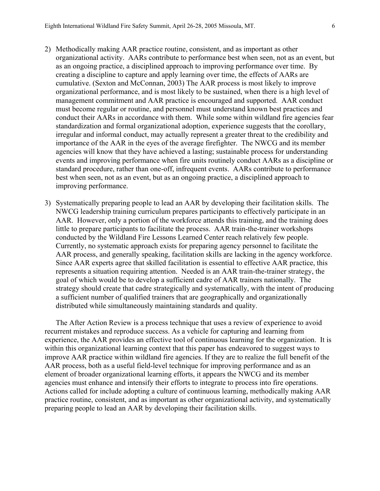- 2) Methodically making AAR practice routine, consistent, and as important as other organizational activity. AARs contribute to performance best when seen, not as an event, but as an ongoing practice, a disciplined approach to improving performance over time. By creating a discipline to capture and apply learning over time, the effects of AARs are cumulative. (Sexton and McConnan, 2003) The AAR process is most likely to improve organizational performance, and is most likely to be sustained, when there is a high level of management commitment and AAR practice is encouraged and supported. AAR conduct must become regular or routine, and personnel must understand known best practices and conduct their AARs in accordance with them. While some within wildland fire agencies fear standardization and formal organizational adoption, experience suggests that the corollary, irregular and informal conduct, may actually represent a greater threat to the credibility and importance of the AAR in the eyes of the average firefighter. The NWCG and its member agencies will know that they have achieved a lasting; sustainable process for understanding events and improving performance when fire units routinely conduct AARs as a discipline or standard procedure, rather than one-off, infrequent events. AARs contribute to performance best when seen, not as an event, but as an ongoing practice, a disciplined approach to improving performance.
- 3) Systematically preparing people to lead an AAR by developing their facilitation skills. The NWCG leadership training curriculum prepares participants to effectively participate in an AAR. However, only a portion of the workforce attends this training, and the training does little to prepare participants to facilitate the process. AAR train-the-trainer workshops conducted by the Wildland Fire Lessons Learned Center reach relatively few people. Currently, no systematic approach exists for preparing agency personnel to facilitate the AAR process, and generally speaking, facilitation skills are lacking in the agency workforce. Since AAR experts agree that skilled facilitation is essential to effective AAR practice, this represents a situation requiring attention. Needed is an AAR train-the-trainer strategy, the goal of which would be to develop a sufficient cadre of AAR trainers nationally. The strategy should create that cadre strategically and systematically, with the intent of producing a sufficient number of qualified trainers that are geographically and organizationally distributed while simultaneously maintaining standards and quality.

The After Action Review is a process technique that uses a review of experience to avoid recurrent mistakes and reproduce success. As a vehicle for capturing and learning from experience, the AAR provides an effective tool of continuous learning for the organization. It is within this organizational learning context that this paper has endeavored to suggest ways to improve AAR practice within wildland fire agencies. If they are to realize the full benefit of the AAR process, both as a useful field-level technique for improving performance and as an element of broader organizational learning efforts, it appears the NWCG and its member agencies must enhance and intensify their efforts to integrate to process into fire operations. Actions called for include adopting a culture of continuous learning, methodically making AAR practice routine, consistent, and as important as other organizational activity, and systematically preparing people to lead an AAR by developing their facilitation skills.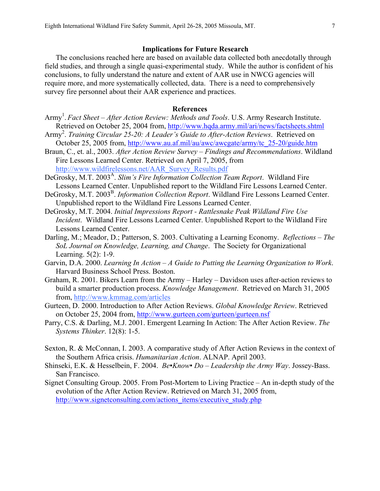## **Implications for Future Research**

The conclusions reached here are based on available data collected both anecdotally through field studies, and through a single quasi-experimental study. While the author is confident of his conclusions, to fully understand the nature and extent of AAR use in NWCG agencies will require more, and more systematically collected, data. There is a need to comprehensively survey fire personnel about their AAR experience and practices.

# **References**

- Army<sup>1</sup>. *Fact Sheet After Action Review: Methods and Tools*. U.S. Army Research Institute. Retrieved on October 25, 2004 from, http://www.hqda.army.mil/ari/news/factsheets.shtml
- Army<sup>2</sup> . *Training Circular 25-20: A Leader's Guide to After-Action Reviews*. Retrieved on October 25, 2005 from, http://www.au.af.mil/au/awc/awcgate/army/tc\_25-20/guide.htm
- http://www.wildfirelessons.net/AAR Survey Results.pdf Braun, C., et. al., 2003. *After Action Review Survey – Findings and Recommendations*. Wildland Fire Lessons Learned Center. Retrieved on April 7, 2005, from
- http://www.wildfare.net/A.Survey.pdf DeGrosky, M.T. 2003<sup>A</sup>. *Slim's Fire Information Collection Team Report.* Wildland Fire Lessons Learned Center. Unpublished report to the Wildland Fire Lessons Learned Center.
- DeGrosky, M.T. 2003<sup>B</sup>. *Information Collection Report*. Wildland Fire Lessons Learned Center. Unpublished report to the Wildland Fire Lessons Learned Center.
- DeGrosky, M.T. 2004. *Initial Impressions Report Rattlesnake Peak Wildland Fire Use Incident*. Wildland Fire Lessons Learned Center. Unpublished Report to the Wildland Fire Lessons Learned Center.
- Darling, M.; Meador, D.; Patterson, S. 2003. Cultivating a Learning Economy. *Reflections The SoL Journal on Knowledge, Learning, and Change*. The Society for Organizational Learning. 5(2): 1-9.
- Garvin, D.A. 2000. *Learning In Action A Guide to Putting the Learning Organization to Work*. Harvard Business School Press. Boston.
- Graham, R. 2001. Bikers Learn from the Army Harley Davidson uses after-action reviews to build a smarter production process. *Knowledge Management*. Retrieved on March 31, 2005 from, http://www.kmmag.com/articles
- Gurteen, D. 2000. Introduction to After Action Reviews. *Global Knowledge Review*. Retrieved on October 25, 2004 from, http://www.gurteen.com/gurteen/gurteen.nsf
- Parry, C.S. & Darling, M.J. 2001. Emergent Learning In Action: The After Action Review. *The Systems Thinker*. 12(8): 1-5.
- Sexton, R. & McConnan, I. 2003. A comparative study of After Action Reviews in the context of the Southern Africa crisis. *Humanitarian Action*. ALNAP. April 2003.
- Shinseki, E.K. & Hesselbein, F. 2004. *Be▪Know▪ Do Leadership the Army Way*. Jossey-Bass. San Francisco.
- http://www.signetconsulting.com/actions\_items/executive\_study.php Signet Consulting Group. 2005. From Post-Mortem to Living Practice – An in-depth study of the evolution of the After Action Review. Retrieved on March 31, 2005 from,